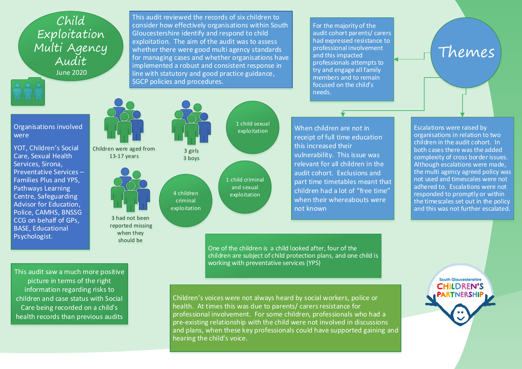Child Exploitation Multi Agency Audit June 2020

Organisations involved were

YOT, Children's Social Care, Sexual Health Services, Sirona, Preventative Services – Families Plus and YPS, Pathways Learning Centre, Safeguarding Advisor for Education, Police, CAMHS, BNSSG CCG on behalf of GPs, BASE, Educational Psychologist.



Children were aged from 13-17 years



3 had not been reported missing when they should be

3 girls 3 boys 4 children criminal exploitation

SGCP policies and procedures.



This audit reviewed the records of six children to consider how effectively organisations within South

Gloucestershire identify and respond to child exploitation. The aim of the audit was to assess whether there were good multi agency standards for managing cases and whether organisations have implemented a robust and consistent response in line with statutory and good practice guidance,

> 1 child criminal and sexual exploitation

For the majority of the audit cohort parents/ carers had expressed resistance to professional involvement and this impacted professionals attempts to try and engage all family members and to remain focused on the child's needs.

When children are not in receipt of full time education this increased their vulnerability. This issue was relevant for all children in the audit cohort. Exclusions and part time timetables meant that children had a lot of "free time" when their whereabouts were not known

Escalations were raised by organisations in relation to two children in the audit cohort. In both cases there was the added complexity of cross border issues. Although escalations were made, the multi agency agreed policy was not used and timescales were not adhered to. Escalations were not responded to promptly or within the timescales set out in the policy and this was not further escalated.

> **South Gloucestershire CHILDREN'S PARTNERSHIF**

Themes

One of the children is a child looked after, four of the children are subject of child protection plans, and one child is working with preventative services (YPS)

This audit saw a much more positive picture in terms of the right information regarding risks to children and case status with Social Care being recorded on a child's health records than previous audits

Children's voices were not always heard by social workers, police or health. At times this was due to parents/ carers resistance for professional involvement. For some children, professionals who had a pre-existing relationship with the child were not involved in discussions and plans, when these key professionals could have supported gaining and hearing the child's voice.